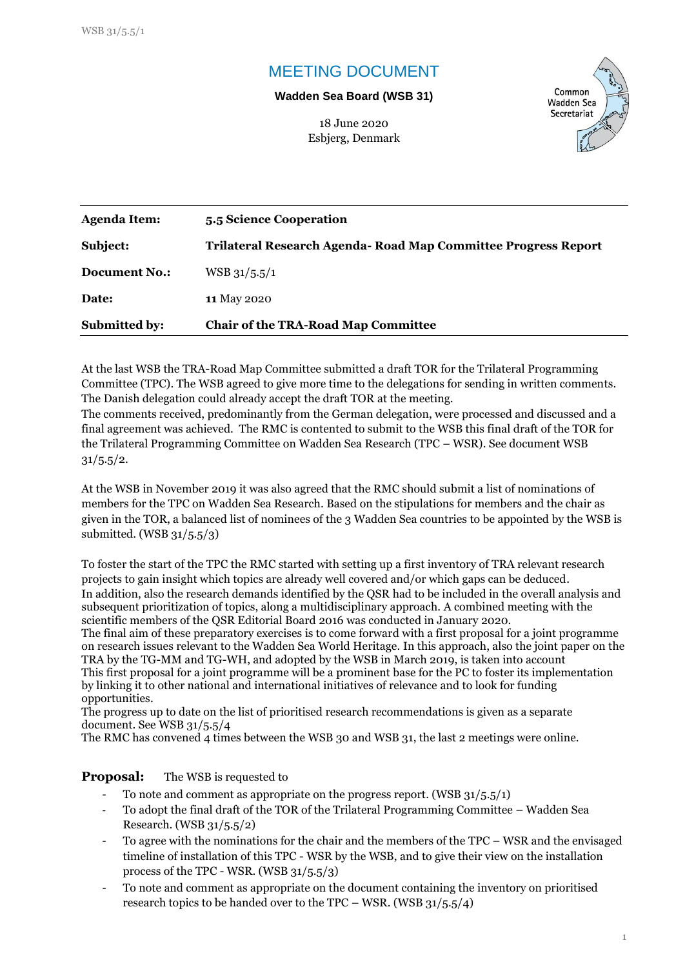# MEETING DOCUMENT

### **Wadden Sea Board (WSB 31)**

18 June 2020



Esbjerg, Denmark

| Agenda Item:         | 5.5 Science Cooperation                                        |
|----------------------|----------------------------------------------------------------|
| Subject:             | Trilateral Research Agenda- Road Map Committee Progress Report |
| Document No.:        | $WSB$ 31/5.5/1                                                 |
| Date:                | <b>11 May 2020</b>                                             |
| <b>Submitted by:</b> | <b>Chair of the TRA-Road Map Committee</b>                     |

At the last WSB the TRA-Road Map Committee submitted a draft TOR for the Trilateral Programming Committee (TPC). The WSB agreed to give more time to the delegations for sending in written comments. The Danish delegation could already accept the draft TOR at the meeting.

The comments received, predominantly from the German delegation, were processed and discussed and a final agreement was achieved. The RMC is contented to submit to the WSB this final draft of the TOR for the Trilateral Programming Committee on Wadden Sea Research (TPC – WSR). See document WSB  $31/5.5/2.$ 

At the WSB in November 2019 it was also agreed that the RMC should submit a list of nominations of members for the TPC on Wadden Sea Research. Based on the stipulations for members and the chair as given in the TOR, a balanced list of nominees of the 3 Wadden Sea countries to be appointed by the WSB is submitted. (WSB 31/5.5/3)

To foster the start of the TPC the RMC started with setting up a first inventory of TRA relevant research projects to gain insight which topics are already well covered and/or which gaps can be deduced. In addition, also the research demands identified by the QSR had to be included in the overall analysis and subsequent prioritization of topics, along a multidisciplinary approach. A combined meeting with the scientific members of the QSR Editorial Board 2016 was conducted in January 2020.

The final aim of these preparatory exercises is to come forward with a first proposal for a joint programme on research issues relevant to the Wadden Sea World Heritage. In this approach, also the joint paper on the TRA by the TG-MM and TG-WH, and adopted by the WSB in March 2019, is taken into account This first proposal for a joint programme will be a prominent base for the PC to foster its implementation by linking it to other national and international initiatives of relevance and to look for funding opportunities.

The progress up to date on the list of prioritised research recommendations is given as a separate document. See WSB 31/5.5/4

The RMC has convened 4 times between the WSB 30 and WSB 31, the last 2 meetings were online.

**Proposal:** The WSB is requested to

- To note and comment as appropriate on the progress report. (WSB 31/5.5/1)
- To adopt the final draft of the TOR of the Trilateral Programming Committee Wadden Sea Research. (WSB 31/5.5/2)
- To agree with the nominations for the chair and the members of the TPC WSR and the envisaged timeline of installation of this TPC - WSR by the WSB, and to give their view on the installation process of the TPC - WSR. (WSB 31/5.5/3)
- To note and comment as appropriate on the document containing the inventory on prioritised research topics to be handed over to the TPC – WSR. (WSB  $31/5.5/4$ )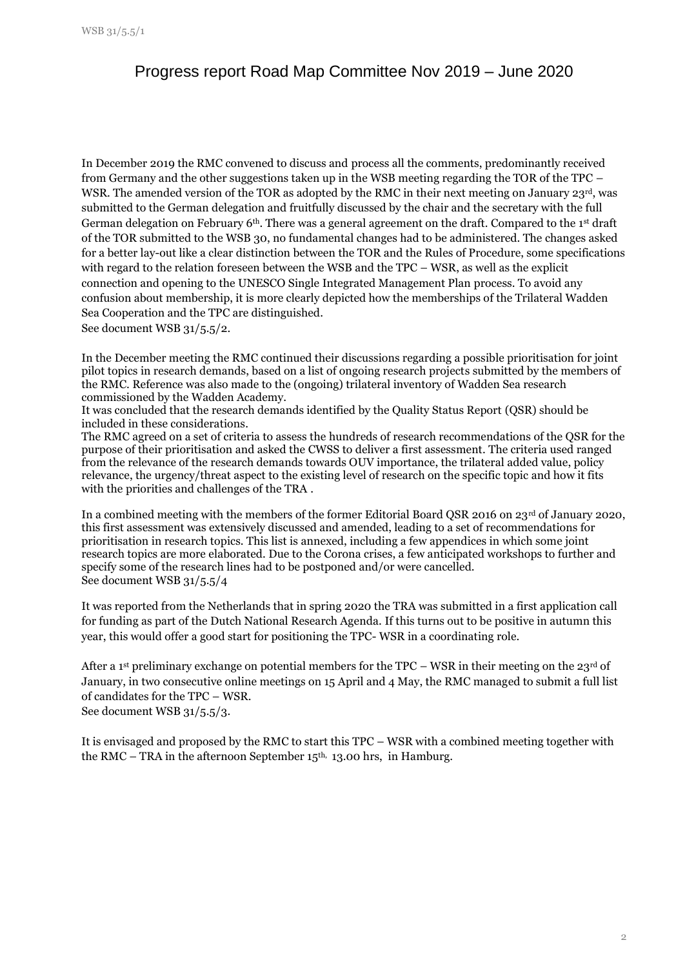## Progress report Road Map Committee Nov 2019 – June 2020

In December 2019 the RMC convened to discuss and process all the comments, predominantly received from Germany and the other suggestions taken up in the WSB meeting regarding the TOR of the TPC – WSR. The amended version of the TOR as adopted by the RMC in their next meeting on January 23rd, was submitted to the German delegation and fruitfully discussed by the chair and the secretary with the full German delegation on February 6<sup>th</sup>. There was a general agreement on the draft. Compared to the 1<sup>st</sup> draft of the TOR submitted to the WSB 30, no fundamental changes had to be administered. The changes asked for a better lay-out like a clear distinction between the TOR and the Rules of Procedure, some specifications with regard to the relation foreseen between the WSB and the TPC – WSR, as well as the explicit connection and opening to the UNESCO Single Integrated Management Plan process. To avoid any confusion about membership, it is more clearly depicted how the memberships of the Trilateral Wadden Sea Cooperation and the TPC are distinguished.

See document WSB 31/5.5/2.

In the December meeting the RMC continued their discussions regarding a possible prioritisation for joint pilot topics in research demands, based on a list of ongoing research projects submitted by the members of the RMC. Reference was also made to the (ongoing) trilateral inventory of Wadden Sea research commissioned by the Wadden Academy.

It was concluded that the research demands identified by the Quality Status Report (QSR) should be included in these considerations.

The RMC agreed on a set of criteria to assess the hundreds of research recommendations of the QSR for the purpose of their prioritisation and asked the CWSS to deliver a first assessment. The criteria used ranged from the relevance of the research demands towards OUV importance, the trilateral added value, policy relevance, the urgency/threat aspect to the existing level of research on the specific topic and how it fits with the priorities and challenges of the TRA .

In a combined meeting with the members of the former Editorial Board QSR 2016 on 23<sup>rd</sup> of January 2020, this first assessment was extensively discussed and amended, leading to a set of recommendations for prioritisation in research topics. This list is annexed, including a few appendices in which some joint research topics are more elaborated. Due to the Corona crises, a few anticipated workshops to further and specify some of the research lines had to be postponed and/or were cancelled. See document WSB 31/5.5/4

It was reported from the Netherlands that in spring 2020 the TRA was submitted in a first application call for funding as part of the Dutch National Research Agenda. If this turns out to be positive in autumn this year, this would offer a good start for positioning the TPC- WSR in a coordinating role.

After a 1<sup>st</sup> preliminary exchange on potential members for the TPC – WSR in their meeting on the 23<sup>rd</sup> of January, in two consecutive online meetings on 15 April and 4 May, the RMC managed to submit a full list of candidates for the TPC – WSR.

See document WSB 31/5.5/3.

It is envisaged and proposed by the RMC to start this TPC – WSR with a combined meeting together with the RMC – TRA in the afternoon September  $15<sup>th</sup>$ ,  $13.00$  hrs, in Hamburg.